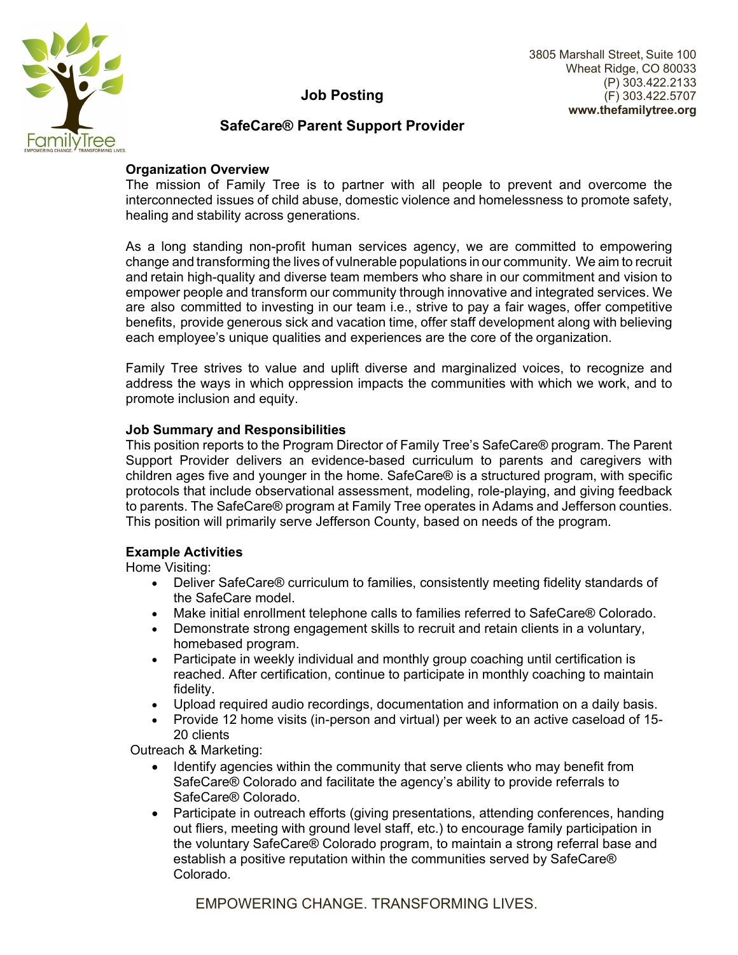

# **Job Posting**

## **SafeCare® Parent Support Provider**

#### **Organization Overview**

The mission of Family Tree is to partner with all people to prevent and overcome the interconnected issues of child abuse, domestic violence and homelessness to promote safety, healing and stability across generations.

As a long standing non-profit human services agency, we are committed to empowering change and transforming the lives of vulnerable populations in our community. We aim to recruit and retain high-quality and diverse team members who share in our commitment and vision to empower people and transform our community through innovative and integrated services. We are also committed to investing in our team i.e., strive to pay a fair wages, offer competitive benefits, provide generous sick and vacation time, offer staff development along with believing each employee's unique qualities and experiences are the core of the organization.

Family Tree strives to value and uplift diverse and marginalized voices, to recognize and address the ways in which oppression impacts the communities with which we work, and to promote inclusion and equity.

#### **Job Summary and Responsibilities**

This position reports to the Program Director of Family Tree's SafeCare® program. The Parent Support Provider delivers an evidence-based curriculum to parents and caregivers with children ages five and younger in the home. SafeCare® is a structured program, with specific protocols that include observational assessment, modeling, role-playing, and giving feedback to parents. The SafeCare® program at Family Tree operates in Adams and Jefferson counties. This position will primarily serve Jefferson County, based on needs of the program.

#### **Example Activities**

Home Visiting:

- Deliver SafeCare® curriculum to families, consistently meeting fidelity standards of the SafeCare model.
- Make initial enrollment telephone calls to families referred to SafeCare® Colorado.
- Demonstrate strong engagement skills to recruit and retain clients in a voluntary, homebased program.
- Participate in weekly individual and monthly group coaching until certification is reached. After certification, continue to participate in monthly coaching to maintain fidelity.
- Upload required audio recordings, documentation and information on a daily basis.
- Provide 12 home visits (in-person and virtual) per week to an active caseload of 15- 20 clients

Outreach & Marketing:

- Identify agencies within the community that serve clients who may benefit from SafeCare® Colorado and facilitate the agency's ability to provide referrals to SafeCare® Colorado.
- Participate in outreach efforts (giving presentations, attending conferences, handing out fliers, meeting with ground level staff, etc.) to encourage family participation in the voluntary SafeCare® Colorado program, to maintain a strong referral base and establish a positive reputation within the communities served by SafeCare® Colorado.

EMPOWERING CHANGE. TRANSFORMING LIVES.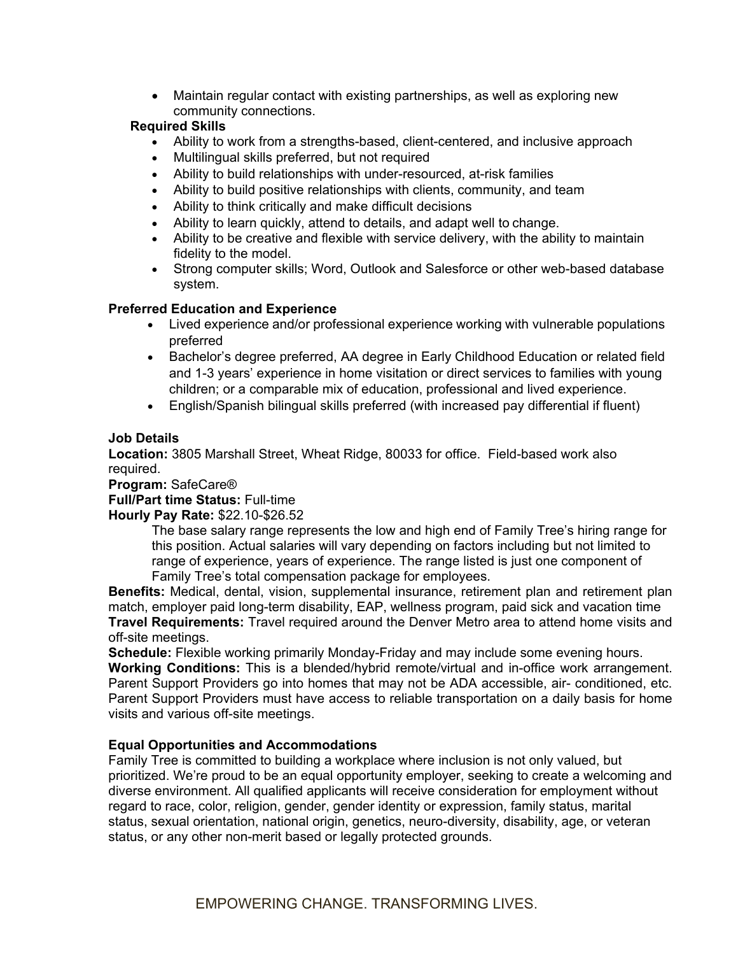Maintain regular contact with existing partnerships, as well as exploring new community connections.

#### **Required Skills**

- Ability to work from a strengths-based, client-centered, and inclusive approach
- Multilingual skills preferred, but not required
- Ability to build relationships with under-resourced, at-risk families
- Ability to build positive relationships with clients, community, and team
- Ability to think critically and make difficult decisions
- Ability to learn quickly, attend to details, and adapt well to change.
- Ability to be creative and flexible with service delivery, with the ability to maintain fidelity to the model.
- Strong computer skills; Word, Outlook and Salesforce or other web-based database system.

## **Preferred Education and Experience**

- Lived experience and/or professional experience working with vulnerable populations preferred
- Bachelor's degree preferred, AA degree in Early Childhood Education or related field and 1-3 years' experience in home visitation or direct services to families with young children; or a comparable mix of education, professional and lived experience.
- English/Spanish bilingual skills preferred (with increased pay differential if fluent)

## **Job Details**

**Location:** 3805 Marshall Street, Wheat Ridge, 80033 for office. Field-based work also required.

#### **Program:** SafeCare®

#### **Full/Part time Status:** Full-time

#### **Hourly Pay Rate:** \$22.10-\$26.52

The base salary range represents the low and high end of Family Tree's hiring range for this position. Actual salaries will vary depending on factors including but not limited to range of experience, years of experience. The range listed is just one component of Family Tree's total compensation package for employees.

**Benefits:** Medical, dental, vision, supplemental insurance, retirement plan and retirement plan match, employer paid long-term disability, EAP, wellness program, paid sick and vacation time **Travel Requirements:** Travel required around the Denver Metro area to attend home visits and off-site meetings.

**Schedule:** Flexible working primarily Monday-Friday and may include some evening hours. **Working Conditions:** This is a blended/hybrid remote/virtual and in-office work arrangement. Parent Support Providers go into homes that may not be ADA accessible, air- conditioned, etc. Parent Support Providers must have access to reliable transportation on a daily basis for home visits and various off-site meetings.

## **Equal Opportunities and Accommodations**

Family Tree is committed to building a workplace where inclusion is not only valued, but prioritized. We're proud to be an equal opportunity employer, seeking to create a welcoming and diverse environment. All qualified applicants will receive consideration for employment without regard to race, color, religion, gender, gender identity or expression, family status, marital status, sexual orientation, national origin, genetics, neuro-diversity, disability, age, or veteran status, or any other non-merit based or legally protected grounds.